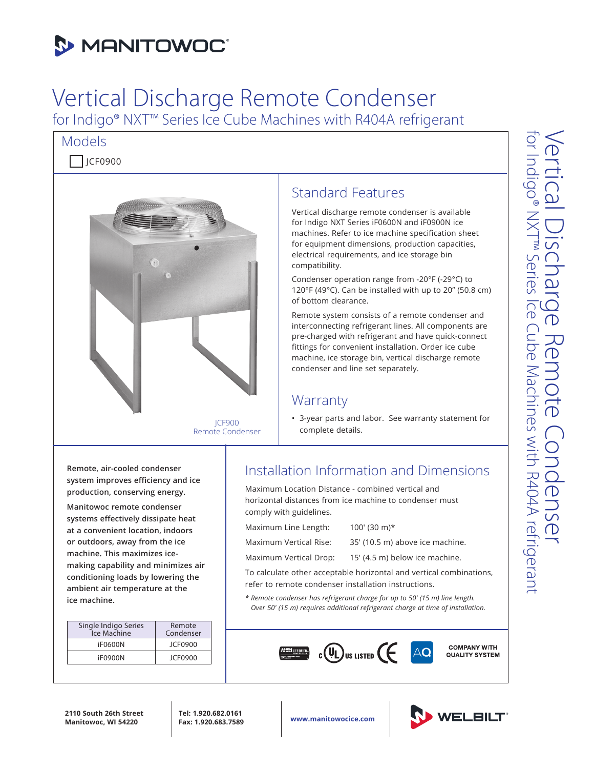# **3 MANITOWOC**

# Vertical Discharge Remote Condenser for Indigo® NXT™ Series Ice Cube Machines with R404A refrigerant

# Models

 $\Box$ ICF0900



Standard Features

Vertical discharge remote condenser is available for Indigo NXT Series iF0600N and iF0900N ice machines. Refer to ice machine specification sheet for equipment dimensions, production capacities, electrical requirements, and ice storage bin compatibility.

Condenser operation range from -20°F (-29°C) to 120°F (49°C). Can be installed with up to 20" (50.8 cm) of bottom clearance.

Remote system consists of a remote condenser and interconnecting refrigerant lines. All components are pre-charged with refrigerant and have quick-connect fittings for convenient installation. Order ice cube machine, ice storage bin, vertical discharge remote condenser and line set separately.

### **Warranty**

• 3-year parts and labor. See warranty statement for complete details.

**Remote, air-cooled condenser system improves efficiency and ice production, conserving energy.**

**Manitowoc remote condenser systems effectively dissipate heat at a convenient location, indoors or outdoors, away from the ice machine. This maximizes icemaking capability and minimizes air conditioning loads by lowering the ambient air temperature at the ice machine.**

| Single Indigo Series<br>Ice Machine | Remote<br>Condenser |  |
|-------------------------------------|---------------------|--|
| iF0600N                             | <b>ICE0900</b>      |  |
| <b>iF0900N</b>                      | <b>JCF0900</b>      |  |

# Installation Information and Dimensions

Maximum Location Distance - combined vertical and horizontal distances from ice machine to condenser must comply with guidelines.

| Maximum Line Length:                                                | $100'$ (30 m) <sup>*</sup>      |  |  |  |
|---------------------------------------------------------------------|---------------------------------|--|--|--|
| Maximum Vertical Rise:                                              | 35' (10.5 m) above ice machine. |  |  |  |
| Maximum Vertical Drop:                                              | 15' (4.5 m) below ice machine.  |  |  |  |
| To calculate other acceptable horizontal and vertical combinations, |                                 |  |  |  |

refer to remote condenser installation instructions.

*\* Remote condenser has refrigerant charge for up to 50' (15 m) line length. Over 50' (15 m) requires additional refrigerant charge at time of installation.*



**2110 South 26th Street Manitowoc, WI 54220**

**Tel: 1.920.682.0161**

**Fax: 1.920.683.7589 www.manitowocice.com**